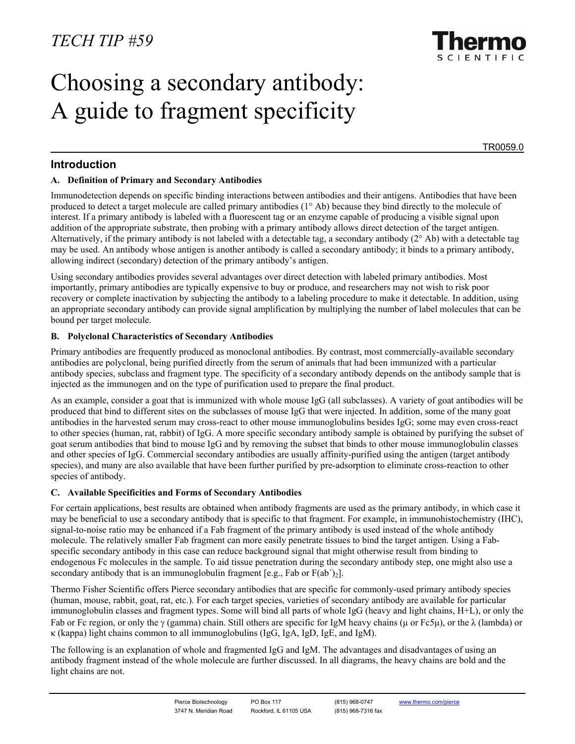

# Choosing a secondary antibody: A guide to fragment specificity

TR0059.0

# **Introduction**

## **A. Definition of Primary and Secondary Antibodies**

Immunodetection depends on specific binding interactions between antibodies and their antigens. Antibodies that have been produced to detect a target molecule are called primary antibodies (1° Ab) because they bind directly to the molecule of interest. If a primary antibody is labeled with a fluorescent tag or an enzyme capable of producing a visible signal upon addition of the appropriate substrate, then probing with a primary antibody allows direct detection of the target antigen. Alternatively, if the primary antibody is not labeled with a detectable tag, a secondary antibody  $(2^{\circ}$  Ab) with a detectable tag may be used. An antibody whose antigen is another antibody is called a secondary antibody; it binds to a primary antibody, allowing indirect (secondary) detection of the primary antibody's antigen.

Using secondary antibodies provides several advantages over direct detection with labeled primary antibodies. Most importantly, primary antibodies are typically expensive to buy or produce, and researchers may not wish to risk poor recovery or complete inactivation by subjecting the antibody to a labeling procedure to make it detectable. In addition, using an appropriate secondary antibody can provide signal amplification by multiplying the number of label molecules that can be bound per target molecule.

#### **B. Polyclonal Characteristics of Secondary Antibodies**

Primary antibodies are frequently produced as monoclonal antibodies. By contrast, most commercially-available secondary antibodies are polyclonal, being purified directly from the serum of animals that had been immunized with a particular antibody species, subclass and fragment type. The specificity of a secondary antibody depends on the antibody sample that is injected as the immunogen and on the type of purification used to prepare the final product.

As an example, consider a goat that is immunized with whole mouse IgG (all subclasses). A variety of goat antibodies will be produced that bind to different sites on the subclasses of mouse IgG that were injected. In addition, some of the many goat antibodies in the harvested serum may cross-react to other mouse immunoglobulins besides IgG; some may even cross-react to other species (human, rat, rabbit) of IgG. A more specific secondary antibody sample is obtained by purifying the subset of goat serum antibodies that bind to mouse IgG and by removing the subset that binds to other mouse immunoglobulin classes and other species of IgG. Commercial secondary antibodies are usually affinity-purified using the antigen (target antibody species), and many are also available that have been further purified by pre-adsorption to eliminate cross-reaction to other species of antibody.

## **C. Available Specificities and Forms of Secondary Antibodies**

For certain applications, best results are obtained when antibody fragments are used as the primary antibody, in which case it may be beneficial to use a secondary antibody that is specific to that fragment. For example, in immunohistochemistry (IHC), signal-to-noise ratio may be enhanced if a Fab fragment of the primary antibody is used instead of the whole antibody molecule. The relatively smaller Fab fragment can more easily penetrate tissues to bind the target antigen. Using a Fabspecific secondary antibody in this case can reduce background signal that might otherwise result from binding to endogenous Fc molecules in the sample. To aid tissue penetration during the secondary antibody step, one might also use a secondary antibody that is an immunoglobulin fragment [e.g., Fab or  $F(ab')_2$ ].

Thermo Fisher Scientific offers Pierce secondary antibodies that are specific for commonly-used primary antibody species (human, mouse, rabbit, goat, rat, etc.). For each target species, varieties of secondary antibody are available for particular immunoglobulin classes and fragment types. Some will bind all parts of whole IgG (heavy and light chains, H+L), or only the Fab or Fc region, or only the γ (gamma) chain. Still others are specific for IgM heavy chains (µ or Fc5µ), or the λ (lambda) or κ (kappa) light chains common to all immunoglobulins (IgG, IgA, IgD, IgE, and IgM).

The following is an explanation of whole and fragmented IgG and IgM. The advantages and disadvantages of using an antibody fragment instead of the whole molecule are further discussed. In all diagrams, the heavy chains are bold and the light chains are not.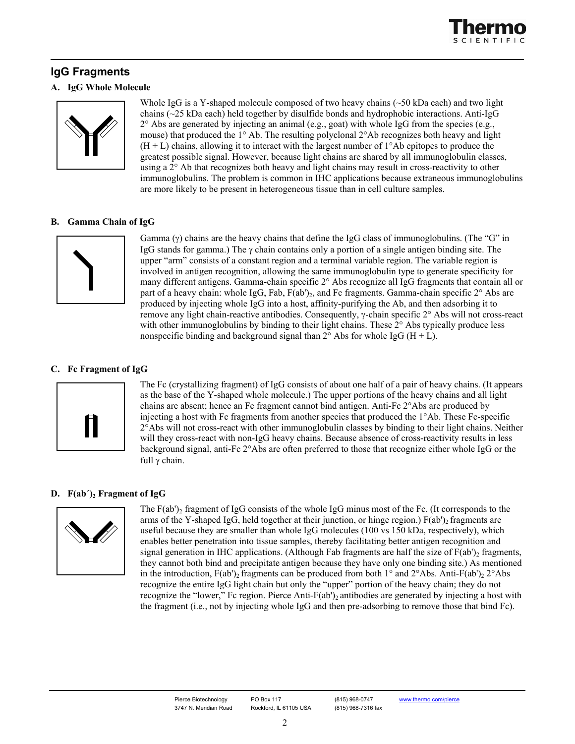

# **IgG Fragments**

#### **A. IgG Whole Molecule**



Whole IgG is a Y-shaped molecule composed of two heavy chains  $(\sim 50 \text{ kDa} \text{ each})$  and two light chains (~25 kDa each) held together by disulfide bonds and hydrophobic interactions. Anti-IgG  $2^{\circ}$  Abs are generated by injecting an animal (e.g., goat) with whole IgG from the species (e.g., mouse) that produced the 1° Ab. The resulting polyclonal 2°Ab recognizes both heavy and light  $(H + L)$  chains, allowing it to interact with the largest number of  $1^{\circ}$ Ab epitopes to produce the greatest possible signal. However, because light chains are shared by all immunoglobulin classes, using a 2° Ab that recognizes both heavy and light chains may result in cross-reactivity to other immunoglobulins. The problem is common in IHC applications because extraneous immunoglobulins are more likely to be present in heterogeneous tissue than in cell culture samples.

#### **B. Gamma Chain of IgG**



Gamma  $(\gamma)$  chains are the heavy chains that define the IgG class of immunoglobulins. (The "G" in IgG stands for gamma.) The  $\gamma$  chain contains only a portion of a single antigen binding site. The upper "arm" consists of a constant region and a terminal variable region. The variable region is involved in antigen recognition, allowing the same immunoglobulin type to generate specificity for many different antigens. Gamma-chain specific 2° Abs recognize all IgG fragments that contain all or part of a heavy chain: whole IgG, Fab,  $F(ab')_2$ , and Fc fragments. Gamma-chain specific  $2^{\circ}$  Abs are produced by injecting whole IgG into a host, affinity-purifying the Ab, and then adsorbing it to remove any light chain-reactive antibodies. Consequently, γ-chain specific 2° Abs will not cross-react with other immunoglobulins by binding to their light chains. These  $2^{\circ}$  Abs typically produce less nonspecific binding and background signal than  $2^{\circ}$  Abs for whole IgG (H + L).

## **C. Fc Fragment of IgG**



The Fc (crystallizing fragment) of IgG consists of about one half of a pair of heavy chains. (It appears as the base of the Y-shaped whole molecule.) The upper portions of the heavy chains and all light chains are absent; hence an Fc fragment cannot bind antigen. Anti-Fc 2°Abs are produced by injecting a host with Fc fragments from another species that produced the 1°Ab. These Fc-specific 2°Abs will not cross-react with other immunoglobulin classes by binding to their light chains. Neither will they cross-react with non-IgG heavy chains. Because absence of cross-reactivity results in less background signal, anti-Fc 2°Abs are often preferred to those that recognize either whole IgG or the full γ chain.

## **D.**  $F(ab')$  **Fragment of IgG**



The  $F(ab')$  fragment of IgG consists of the whole IgG minus most of the Fc. (It corresponds to the arms of the Y-shaped IgG, held together at their junction, or hinge region.)  $F(ab')_2$  fragments are useful because they are smaller than whole IgG molecules (100 vs 150 kDa, respectively), which enables better penetration into tissue samples, thereby facilitating better antigen recognition and signal generation in IHC applications. (Although Fab fragments are half the size of  $F(ab')_2$  fragments, they cannot both bind and precipitate antigen because they have only one binding site.) As mentioned in the introduction,  $F(ab')_2$  fragments can be produced from both 1° and  $2^{\circ}$ Abs. Anti- $F(ab')_2$   $2^{\circ}$ Abs recognize the entire IgG light chain but only the "upper" portion of the heavy chain; they do not recognize the "lower," Fc region. Pierce Anti-F(ab')<sub>2</sub> antibodies are generated by injecting a host with the fragment (i.e., not by injecting whole IgG and then pre-adsorbing to remove those that bind Fc).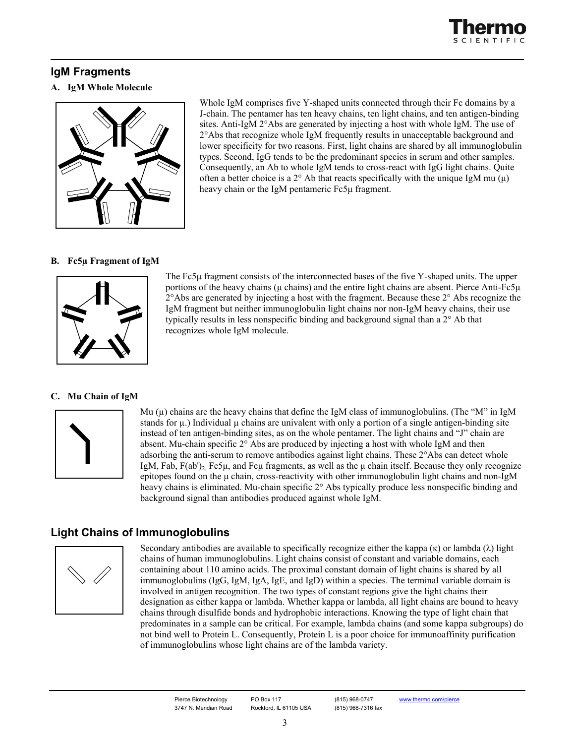

# **IgM Fragments**

#### **A. IgM Whole Molecule**



Whole IgM comprises five Y-shaped units connected through their Fc domains by a J-chain. The pentamer has ten heavy chains, ten light chains, and ten antigen-binding sites. Anti-IgM 2°Abs are generated by injecting a host with whole IgM. The use of 2°Abs that recognize whole IgM frequently results in unacceptable background and lower specificity for two reasons. First, light chains are shared by all immunoglobulin types. Second, IgG tends to be the predominant species in serum and other samples. Consequently, an Ab to whole IgM tends to cross-react with IgG light chains. Quite often a better choice is a  $2^{\circ}$  Ab that reacts specifically with the unique IgM mu (u) heavy chain or the IgM pentameric Fc5µ fragment.

#### **B. Fc5µ Fragment of IgM**



The Fc5µ fragment consists of the interconnected bases of the five Y-shaped units. The upper portions of the heavy chains ( $\mu$  chains) and the entire light chains are absent. Pierce Anti-Fc5 $\mu$  $2^{\circ}$ Abs are generated by injecting a host with the fragment. Because these  $2^{\circ}$  Abs recognize the IgM fragment but neither immunoglobulin light chains nor non-IgM heavy chains, their use typically results in less nonspecific binding and background signal than a 2° Ab that recognizes whole IgM molecule.

#### **C. Mu Chain of IgM**



Mu  $(\mu)$  chains are the heavy chains that define the IgM class of immunoglobulins. (The "M" in IgM stands for  $\mu$ .) Individual  $\mu$  chains are univalent with only a portion of a single antigen-binding site instead of ten antigen-binding sites, as on the whole pentamer. The light chains and "J" chain are absent. Mu-chain specific 2° Abs are produced by injecting a host with whole IgM and then adsorbing the anti-serum to remove antibodies against light chains. These 2°Abs can detect whole IgM, Fab,  $F(ab')_2$  Fc5µ, and Fcµ fragments, as well as the µ chain itself. Because they only recognize epitopes found on the µ chain, cross-reactivity with other immunoglobulin light chains and non-IgM heavy chains is eliminated. Mu-chain specific 2° Abs typically produce less nonspecific binding and background signal than antibodies produced against whole IgM.

# **Light Chains of Immunoglobulins**



Secondary antibodies are available to specifically recognize either the kappa  $(\kappa)$  or lambda  $(\lambda)$  light chains of human immunoglobulins. Light chains consist of constant and variable domains, each containing about 110 amino acids. The proximal constant domain of light chains is shared by all immunoglobulins (IgG, IgM, IgA, IgE, and IgD) within a species. The terminal variable domain is involved in antigen recognition. The two types of constant regions give the light chains their designation as either kappa or lambda. Whether kappa or lambda, all light chains are bound to heavy chains through disulfide bonds and hydrophobic interactions. Knowing the type of light chain that predominates in a sample can be critical. For example, lambda chains (and some kappa subgroups) do not bind well to Protein L. Consequently, Protein L is a poor choice for immunoaffinity purification of immunoglobulins whose light chains are of the lambda variety.